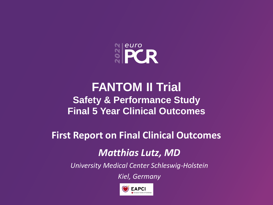

# **FANTOM II Trial Safety & Performance Study Final 5 Year Clinical Outcomes**

**First Report on Final Clinical Outcomes**

### *Matthias Lutz, MD*

*University Medical Center Schleswig-Holstein*

*Kiel, Germany*

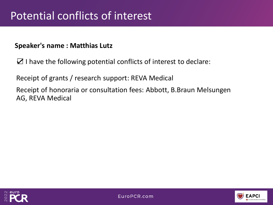#### **Speaker's name : Matthias Lutz**

☑ I have the following potential conflicts of interest to declare:

Receipt of grants / research support: REVA Medical

Receipt of honoraria or consultation fees: Abbott, B.Braun Melsungen AG, REVA Medical



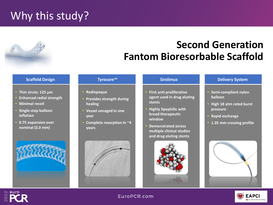# Why this study?

# **Second Generation Fantom Bioresorbable Scaffold**

- **Thin struts: 125 µm**
- **Enhanced radial strength**
- **Minimal recoil**
- **Single-step balloon inflation**
- **0.75 expansion over nominal (3.0 mm)**



#### **Tyrocore™**

- **Radiopaque**
- **Provides strength during healing**
- **Vessel uncaged in one year**
- **Complete resorption in ~4 years**



- **First anti-proliferative agent used in drug eluting stents**
- **Highly lipophilic with broad therapeutic window**
- **Demonstrated across multiple clinical studies and drug eluting stents**



#### **Scaffold Design Sirolimus Delivery System**

- **Semi-compliant nylon balloon**
- **High 18 atm rated burst pressure**
- **Rapid exchange**
- **1.35 mm crossing profile**



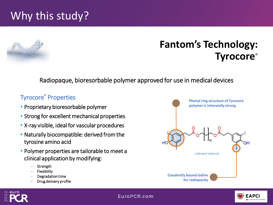# Why this study?



### **Fantom's Technology: Tyrocore®**

Radiopaque, bioresorbable polymer approved for use in medical devices

#### Tyrocore**®** Properties

- Proprietary bioresorbable polymer
- Strong for excellent mechanical properties
- X-ray visible, ideal for vascular procedures
- Naturally biocompatible: derived from the tyrosine amino acid
- Polymer properties are tailorable to meet a clinical application by modifying:
	- **Strength**
	- **Flexibility**
- Degradation time <sup>1</sup>CE Mark Approved in Europe
	- Drug delivery profile



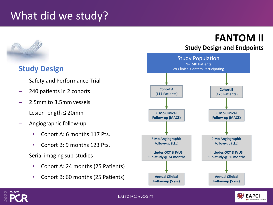# What did we study?



#### **Study Design**

- Safety and Performance Trial
- 240 patients in 2 cohorts
- 2.5mm to 3.5mm vessels
- Lesion length ≤ 20mm
- ─ Angiographic follow-up
	- Cohort A: 6 months 117 Pts.
	- Cohort B: 9 months 123 Pts.
- ─ Serial imaging sub-studies
	- Cohort A: 24 months (25 Patients)
	- Cohort B: 60 months (25 Patients)





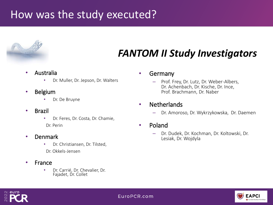## How was the study executed?



# *FANTOM II Study Investigators*

- Australia
	- Dr. Muller, Dr. Jepson, Dr. Walters
- Belgium
	- Dr. De Bruyne
- Brazil
	- Dr. Feres, Dr. Costa, Dr. Chamie, Dr. Perin
- Denmark
	- Dr. Christiansen, Dr. Tilsted, Dr. Okkels-Jensen
- France
	- Dr. Carrié, Dr. Chevalier, Dr. Fajadet, Dr. Collet

#### • Germany

- Prof. Frey, Dr. Lutz, Dr. Weber-Albers, Dr. Achenbach, Dr. Kische, Dr. Ince, Prof. Brachmann, Dr. Naber
- Netherlands
	- Dr. Amoroso, Dr. Wykrzykowska, Dr. Daemen
- Poland
	- Dr. Dudek, Dr. Kochman, Dr. Koltowski, Dr. Lesiak, Dr. Wojdyla



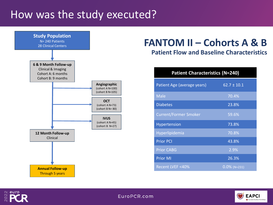### How was the study executed?



## **FANTOM II – Cohorts A & B**

#### **Patient Flow and Baseline Characteristics**

| <b>Patient Characteristics (N=240)</b> |                 |  |  |
|----------------------------------------|-----------------|--|--|
| Patient Age (average years)            | $62.7 \pm 10.1$ |  |  |
| <b>Male</b>                            | 70.4%           |  |  |
| <b>Diabetes</b>                        | 23.8%           |  |  |
| <b>Current/Former Smoker</b>           | 59.6%           |  |  |
| Hypertension                           | 73.8%           |  |  |
| Hyperlipidemia                         | 70.8%           |  |  |
| <b>Prior PCI</b>                       | 43.8%           |  |  |
| <b>Prior CABG</b>                      | 2.9%            |  |  |
| <b>Prior MI</b>                        | 26.3%           |  |  |
| Recent LVEF <40%                       | $0.0\%$ (N=231) |  |  |



**EAPCI** European Society of Cardiology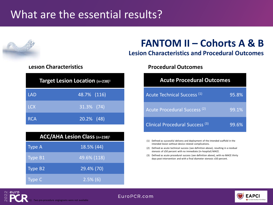# What are the essential results?



euro

| Target Lesion Location (n=238) <sup>1</sup> |               |  |  |
|---------------------------------------------|---------------|--|--|
| <b>LAD</b>                                  | 48.7% (116)   |  |  |
| <b>LCX</b>                                  | $31.3\%$ (74) |  |  |
| <b>RCA</b>                                  | 20.2% (48)    |  |  |

| <b>ACC/AHA Lesion Class (n=238)<sup>1</sup></b> |             |  |
|-------------------------------------------------|-------------|--|
| <b>Type A</b>                                   | 18.5% (44)  |  |
| Type B1                                         | 49.6% (118) |  |
| Type B <sub>2</sub>                             | 29.4% (70)  |  |
| Type C                                          | $2.5\%$ (6) |  |

## **FANTOM II – Cohorts A & B**

#### **Lesion Characteristics and Procedural Outcomes**

#### **Lesion Characteristics Procedural Outcomes**

| <b>Acute Procedural Outcomes</b>           |       |  |  |
|--------------------------------------------|-------|--|--|
| Acute Technical Success <sup>(1)</sup>     | 95.8% |  |  |
| Acute Procedural Success <sup>(2)</sup>    | 99.1% |  |  |
| Clinical Procedural Success <sup>(3)</sup> | 99.6% |  |  |

- (1) Defined as successful delivery and deployment of the intended scaffold in the intended lesion without device related complications.
- (2) Defined as acute technical success (see definition above), resulting in a residual stenosis of ≤50 percent with no immediate (in-hospital) MACE.
- (3) Defined as acute procedural success (see definition above), with no MACE thirty days post-intervention and with a final diameter stenosis ≤50 percent.



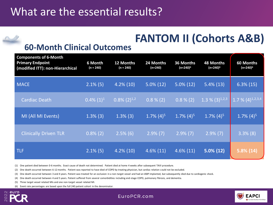# **FANTOM II (Cohorts A&B)**

#### **60-Month Clinical Outcomes**

| <b>Components of 6-Month</b><br><b>Primary Endpoint</b><br>(modified ITT): non-Hierarchical | 6 Month<br>$(n = 240)$ | 12 Months<br>$(n = 240)$ | 24 Months<br>$(n=240)$   | 36 Months<br>(n=240) <sup>6</sup> | <b>48 Months</b><br>(n=240) <sup>6</sup> | 60 Months<br>(n=240) <sup>6</sup> |
|---------------------------------------------------------------------------------------------|------------------------|--------------------------|--------------------------|-----------------------------------|------------------------------------------|-----------------------------------|
| <b>MACE</b>                                                                                 | $2.1\%$ (5)            | $4.2\%$ (10)             | $5.0\%$ (12)             | $5.0\%$ (12)                      | $5.4\%(13)$                              | $6.3\%$ (15)                      |
| <b>Cardiac Death</b>                                                                        | $0.4\%$ $(1)^1$        | $0.8\%$ $(2)^{1,2}$      | $0.8\%$ (2)              | $0.8\%(2)$                        | 1.3 % $(3)^{1,2,3}$                      | 1.7 % $(4)^{1,2,3,4}$             |
| MI (All MI Events)                                                                          | $1.3\%$ (3)            | $1.3\%$ (3)              | $1.7\%$ (4) <sup>5</sup> | $1.7\%$ (4) <sup>5</sup>          | $1.7\%$ (4) <sup>5</sup>                 | $1.7\%$ (4) <sup>5</sup>          |
| <b>Clinically Driven TLR</b>                                                                | $0.8\%$ (2)            | $2.5\%$ (6)              | $2.9\%$ (7)              | $2.9\%$ (7)                       | $2.9\%$ (7)                              | $3.3\%$ (8)                       |
| TLF                                                                                         | $2.1\%$ (5)            | $4.2\%$ (10)             | $4.6\%$ (11)             | $4.6\%$ (11)                      | $5.0\% (12)$                             | $5.8\%(14)$<br>◢                  |

(1) One patient died between 0-6 months. Exact cause of death not determined. Patient died at home 4 weeks after subsequent TAVI procedure.

(2) One death occurred between 6-12 months. Patient was reported to have died of COPD by treating physician, but cardiac relation could not be excluded.

(3) One death occurred between 3 and 4 years. Patient was treated for an occlusion in a non-target vessel and had an IABP implanted, but subsequently died due to cardiogenic shock.

(4) One death occurred between 4 and 5 years. Patient suffered from several comorbidities including end-stage COPD, pulmonary fibrosis, and dementia.

(5) Three target vessel related MIs and one non-target vessel related MI.

(6) Event rate percentages are based upon the full 240 patient cohort in the denominator.



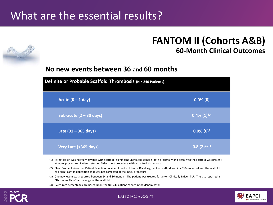## What are the essential results?

#### **FANTOM II (Cohorts A&B) 60-Month Clinical Outcomes**

#### **No new events between 36 and 60 months**

| Definite or Probable Scaffold Thrombosis (N = 240 Patients) |                          |  |  |
|-------------------------------------------------------------|--------------------------|--|--|
| Acute $(0 - 1$ day)                                         | $0.0\%$ (0)              |  |  |
| Sub-acute $(2 - 30$ days)                                   | $0.4\%$ $(1)^{1,4}$      |  |  |
| Late $(31 - 365 \text{ days})$                              | $0.0\%$ (0) <sup>4</sup> |  |  |
| Very Late (>365 days)                                       | $(0.8(2)^{2,3,4})$       |  |  |

- (1) Target lesion was not fully covered with scaffold. Significant untreated stenosis both proximally and distally to the scaffold was present at index procedure. Patient returned 5 days post procedure with a scaffold thrombosis
- (2) Clear Protocol Violation: Patient Selection outside of protocol limits: Distal segment of scaffold was in a 2.0mm vessel and the scaffold had significant malaposition that was not corrected at the index procedure
- (3) One new event was reported between 24 and 36 months. The patient was treated for a Non-Clinically Driven TLR. The site reported a "Thrombus Flake" at the edge of the scaffold.
- (4) Event rate percentages are based upon the full 240 patient cohort in the denominator

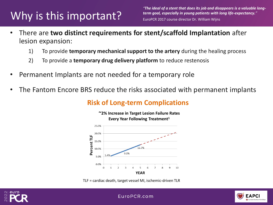# Why is this important?

*"The ideal of a stent that does its job and disappears is a valuable longterm goal, especially in young patients with long life-expectancy."* EuroPCR 2017 course director Dr. William Wijns

- There are **two distinct requirements for stent/scaffold Implantation** after lesion expansion:
	- 1) To provide **temporary mechanical support to the artery** during the healing process
	- 2) To provide a **temporary drug delivery platform** to reduce restenosis
- Permanent Implants are not needed for a temporary role
- The Fantom Encore BRS reduce the risks associated with permanent implants

#### **Risk of Long-term Complications**



TLF = cardiac death, target vessel MI, ischemic-driven TLR



FAPC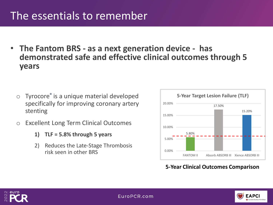# The essentials to remember

• **The Fantom BRS - as a next generation device - has demonstrated safe and effective clinical outcomes through 5 years**

- o Tyrocore**®** is a unique material developed specifically for improving coronary artery stenting
- o Excellent Long Term Clinical Outcomes
	- **1) TLF = 5.8% through 5 years**
	- 2) Reduces the Late-Stage Thrombosis risk seen in other BRS



**5-Year Clinical Outcomes Comparison**